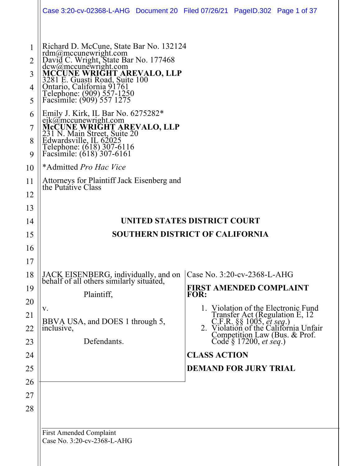|                                                    | Case 3:20-cv-02368-L-AHG Document 20 Filed 07/26/21 PageID.302 Page 1 of 37                                                                                                                                                                                                                                                                           |                                                                                                                                     |                                                             |                                                                                                                                                 |
|----------------------------------------------------|-------------------------------------------------------------------------------------------------------------------------------------------------------------------------------------------------------------------------------------------------------------------------------------------------------------------------------------------------------|-------------------------------------------------------------------------------------------------------------------------------------|-------------------------------------------------------------|-------------------------------------------------------------------------------------------------------------------------------------------------|
| 1<br>2<br>3<br>4<br>5<br>6                         | Richard D. McCune, State Bar No. 132124<br>rdm@mccunewright.com<br>David C. Wright, State Bar No. 177468<br>dew@mecunewright.com<br>MCCUNE WRIGHT AREVALO, LLP<br>3281 E. Guasti Road, Suite 100<br>Ontario, California 91761<br>Telephone: (909) 557-1250<br>Facsimile: (909) 557 1275<br>Emily J. Kirk, IL Bar No. 6275282*<br>ejk@mccunewright.com |                                                                                                                                     |                                                             |                                                                                                                                                 |
| 7<br>8<br>9                                        | MCCUNE WRIGHT AREVALO, LLP<br>231 N. Main Street, Suite 20<br>Edwardsville, IL 62025<br>Telephone: (618) 307-6116<br>Facsimile: (618) 307-6161                                                                                                                                                                                                        |                                                                                                                                     |                                                             |                                                                                                                                                 |
| 10<br>11<br>12<br>13                               | *Admitted Pro Hac Vice<br>Attorneys for Plaintiff Jack Eisenberg and<br>the Putative Class                                                                                                                                                                                                                                                            |                                                                                                                                     |                                                             |                                                                                                                                                 |
| 14<br>15<br>16<br>17                               | UNITED STATES DISTRICT COURT<br><b>SOUTHERN DISTRICT OF CALIFORNIA</b>                                                                                                                                                                                                                                                                                |                                                                                                                                     |                                                             |                                                                                                                                                 |
| 18<br>19<br>20<br>21<br>22<br>23<br>24<br>25<br>26 | JACK EISENBERG, individually, and on<br>behalf of all others similarly situated,<br>Plaintiff,<br>V.<br>BBVA USA, and DOES 1 through 5,<br>inclusive,<br>Defendants.                                                                                                                                                                                  | Case No. 3:20-cv-2368-L-AHG<br><b>FIRST AMENDED COMPLAINT</b><br><b>FOR:</b><br><b>CLASS ACTION</b><br><b>DEMAND FOR JURY TRIAL</b> | Competition Law (Bus. & Prof.<br>Code $\S 17200$ , et seq.) | Violation of the Electronic Fund<br>Transfer Act (Regulation E, 12<br>C.F.R. §§ 1005, <i>et seq.</i> )<br>2. Violation of the California Unfair |
| 27<br>28                                           | <b>First Amended Complaint</b>                                                                                                                                                                                                                                                                                                                        |                                                                                                                                     |                                                             |                                                                                                                                                 |

Case No. 3:20-cv-2368-L-AHG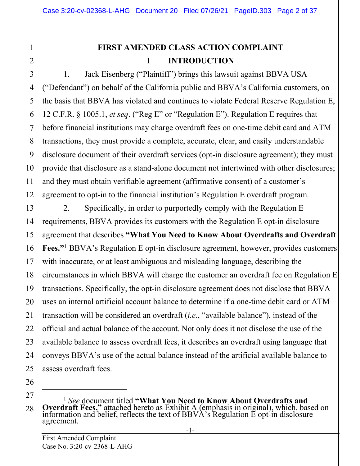# **FIRST AMENDED CLASS ACTION COMPLAINT I INTRODUCTION**

1. Jack Eisenberg ("Plaintiff") brings this lawsuit against BBVA USA ("Defendant") on behalf of the California public and BBVA's California customers, on the basis that BBVA has violated and continues to violate Federal Reserve Regulation E, 12 C.F.R. § 1005.1, *et seq*. ("Reg E" or "Regulation E"). Regulation E requires that before financial institutions may charge overdraft fees on one-time debit card and ATM transactions, they must provide a complete, accurate, clear, and easily understandable disclosure document of their overdraft services (opt-in disclosure agreement); they must provide that disclosure as a stand-alone document not intertwined with other disclosures; and they must obtain verifiable agreement (affirmative consent) of a customer's agreement to opt-in to the financial institution's Regulation E overdraft program.

2. Specifically, in order to purportedly comply with the Regulation E requirements, BBVA provides its customers with the Regulation E opt-in disclosure agreement that describes **"What You Need to Know About Overdrafts and Overdraft Fees."**[1](#page-1-0) BBVA's Regulation E opt-in disclosure agreement, however, provides customers with inaccurate, or at least ambiguous and misleading language, describing the circumstances in which BBVA will charge the customer an overdraft fee on Regulation E transactions. Specifically, the opt-in disclosure agreement does not disclose that BBVA uses an internal artificial account balance to determine if a one-time debit card or ATM transaction will be considered an overdraft (*i.e*., "available balance"), instead of the official and actual balance of the account. Not only does it not disclose the use of the available balance to assess overdraft fees, it describes an overdraft using language that conveys BBVA's use of the actual balance instead of the artificial available balance to assess overdraft fees.

25 26 27

<span id="page-1-0"></span>28

1

2

3

4

5

6

7

8

9

10

11

12

13

14

15

16

17

18

19

20

21

22

23

<sup>1</sup> *See* document titled **"What You Need to Know About Overdrafts and Overdraft Fees,"** attached hereto as Exhibit A (emphasis in original), which, based on information and belief, reflects the text of BBVA's Regulation E opt-in disclosure agreement.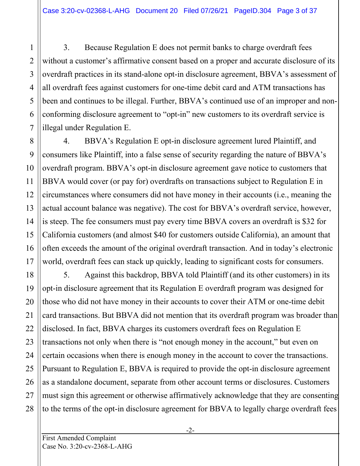3. Because Regulation E does not permit banks to charge overdraft fees without a customer's affirmative consent based on a proper and accurate disclosure of its overdraft practices in its stand-alone opt-in disclosure agreement, BBVA's assessment of all overdraft fees against customers for one-time debit card and ATM transactions has been and continues to be illegal. Further, BBVA's continued use of an improper and nonconforming disclosure agreement to "opt-in" new customers to its overdraft service is illegal under Regulation E.

4. BBVA's Regulation E opt-in disclosure agreement lured Plaintiff, and consumers like Plaintiff, into a false sense of security regarding the nature of BBVA's overdraft program. BBVA's opt-in disclosure agreement gave notice to customers that BBVA would cover (or pay for) overdrafts on transactions subject to Regulation E in circumstances where consumers did not have money in their accounts (i.e., meaning the actual account balance was negative). The cost for BBVA's overdraft service, however, is steep. The fee consumers must pay every time BBVA covers an overdraft is \$32 for California customers (and almost \$40 for customers outside California), an amount that often exceeds the amount of the original overdraft transaction. And in today's electronic world, overdraft fees can stack up quickly, leading to significant costs for consumers.

5. Against this backdrop, BBVA told Plaintiff (and its other customers) in its opt-in disclosure agreement that its Regulation E overdraft program was designed for those who did not have money in their accounts to cover their ATM or one-time debit card transactions. But BBVA did not mention that its overdraft program was broader than disclosed. In fact, BBVA charges its customers overdraft fees on Regulation E transactions not only when there is "not enough money in the account," but even on certain occasions when there is enough money in the account to cover the transactions. Pursuant to Regulation E, BBVA is required to provide the opt-in disclosure agreement as a standalone document, separate from other account terms or disclosures. Customers must sign this agreement or otherwise affirmatively acknowledge that they are consenting to the terms of the opt-in disclosure agreement for BBVA to legally charge overdraft fees

1

2

3

4

5

6

7

8

9

10

11

12

13

14

15

16

17

18

19

20

21

22

23

24

25

26

27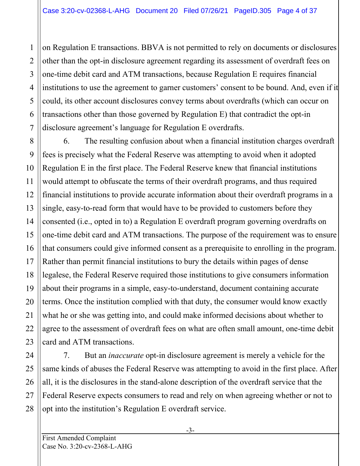on Regulation E transactions. BBVA is not permitted to rely on documents or disclosures other than the opt-in disclosure agreement regarding its assessment of overdraft fees on one-time debit card and ATM transactions, because Regulation E requires financial institutions to use the agreement to garner customers' consent to be bound. And, even if it could, its other account disclosures convey terms about overdrafts (which can occur on transactions other than those governed by Regulation E) that contradict the opt-in disclosure agreement's language for Regulation E overdrafts.

6. The resulting confusion about when a financial institution charges overdraft fees is precisely what the Federal Reserve was attempting to avoid when it adopted Regulation E in the first place. The Federal Reserve knew that financial institutions would attempt to obfuscate the terms of their overdraft programs, and thus required financial institutions to provide accurate information about their overdraft programs in a single, easy-to-read form that would have to be provided to customers before they consented (i.e., opted in to) a Regulation E overdraft program governing overdrafts on one-time debit card and ATM transactions. The purpose of the requirement was to ensure that consumers could give informed consent as a prerequisite to enrolling in the program. Rather than permit financial institutions to bury the details within pages of dense legalese, the Federal Reserve required those institutions to give consumers information about their programs in a simple, easy-to-understand, document containing accurate terms. Once the institution complied with that duty, the consumer would know exactly what he or she was getting into, and could make informed decisions about whether to agree to the assessment of overdraft fees on what are often small amount, one-time debit card and ATM transactions.

24 7. But an *inaccurate* opt-in disclosure agreement is merely a vehicle for the same kinds of abuses the Federal Reserve was attempting to avoid in the first place. After all, it is the disclosures in the stand-alone description of the overdraft service that the Federal Reserve expects consumers to read and rely on when agreeing whether or not to opt into the institution's Regulation E overdraft service.

1

2

3

4

5

6

7

8

9

10

11

12

13

14

15

16

17

18

19

20

21

22

23

25

26

27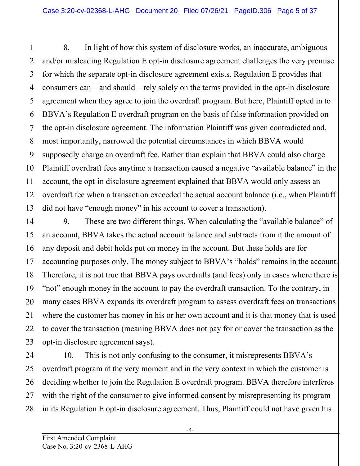8. In light of how this system of disclosure works, an inaccurate, ambiguous and/or misleading Regulation E opt-in disclosure agreement challenges the very premise for which the separate opt-in disclosure agreement exists. Regulation E provides that consumers can—and should—rely solely on the terms provided in the opt-in disclosure agreement when they agree to join the overdraft program. But here, Plaintiff opted in to BBVA's Regulation E overdraft program on the basis of false information provided on the opt-in disclosure agreement. The information Plaintiff was given contradicted and, most importantly, narrowed the potential circumstances in which BBVA would supposedly charge an overdraft fee. Rather than explain that BBVA could also charge Plaintiff overdraft fees anytime a transaction caused a negative "available balance" in the account, the opt-in disclosure agreement explained that BBVA would only assess an overdraft fee when a transaction exceeded the actual account balance (i.e., when Plaintiff did not have "enough money" in his account to cover a transaction).

9. These are two different things. When calculating the "available balance" of an account, BBVA takes the actual account balance and subtracts from it the amount of any deposit and debit holds put on money in the account. But these holds are for accounting purposes only. The money subject to BBVA's "holds" remains in the account. Therefore, it is not true that BBVA pays overdrafts (and fees) only in cases where there is "not" enough money in the account to pay the overdraft transaction. To the contrary, in many cases BBVA expands its overdraft program to assess overdraft fees on transactions where the customer has money in his or her own account and it is that money that is used to cover the transaction (meaning BBVA does not pay for or cover the transaction as the opt-in disclosure agreement says).

24 10. This is not only confusing to the consumer, it misrepresents BBVA's overdraft program at the very moment and in the very context in which the customer is deciding whether to join the Regulation E overdraft program. BBVA therefore interferes with the right of the consumer to give informed consent by misrepresenting its program in its Regulation E opt-in disclosure agreement. Thus, Plaintiff could not have given his

1

2

3

4

5

6

7

8

9

10

11

12

13

14

15

16

17

18

19

20

21

22

23

25

26

27

28

-4-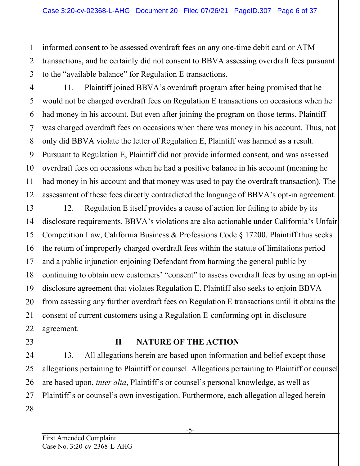informed consent to be assessed overdraft fees on any one-time debit card or ATM transactions, and he certainly did not consent to BBVA assessing overdraft fees pursuant to the "available balance" for Regulation E transactions.

11. Plaintiff joined BBVA's overdraft program after being promised that he would not be charged overdraft fees on Regulation E transactions on occasions when he had money in his account. But even after joining the program on those terms, Plaintiff was charged overdraft fees on occasions when there was money in his account. Thus, not only did BBVA violate the letter of Regulation E, Plaintiff was harmed as a result. Pursuant to Regulation E, Plaintiff did not provide informed consent, and was assessed overdraft fees on occasions when he had a positive balance in his account (meaning he had money in his account and that money was used to pay the overdraft transaction). The assessment of these fees directly contradicted the language of BBVA's opt-in agreement.

12. Regulation E itself provides a cause of action for failing to abide by its disclosure requirements. BBVA's violations are also actionable under California's Unfair Competition Law, California Business & Professions Code § 17200. Plaintiff thus seeks the return of improperly charged overdraft fees within the statute of limitations period and a public injunction enjoining Defendant from harming the general public by continuing to obtain new customers' "consent" to assess overdraft fees by using an opt-in disclosure agreement that violates Regulation E. Plaintiff also seeks to enjoin BBVA from assessing any further overdraft fees on Regulation E transactions until it obtains the consent of current customers using a Regulation E-conforming opt-in disclosure agreement.

# **II NATURE OF THE ACTION**

13. All allegations herein are based upon information and belief except those allegations pertaining to Plaintiff or counsel. Allegations pertaining to Plaintiff or counsel are based upon, *inter alia*, Plaintiff's or counsel's personal knowledge, as well as Plaintiff's or counsel's own investigation. Furthermore, each allegation alleged herein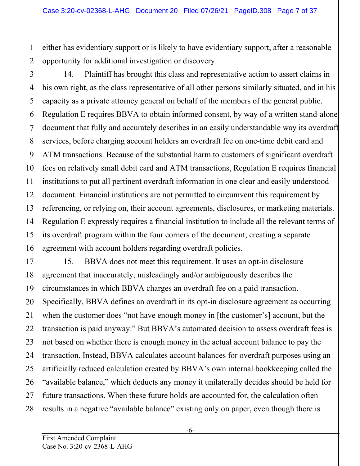either has evidentiary support or is likely to have evidentiary support, after a reasonable opportunity for additional investigation or discovery.

4 6 8 9 10 12 13 14 15 16 14. Plaintiff has brought this class and representative action to assert claims in his own right, as the class representative of all other persons similarly situated, and in his capacity as a private attorney general on behalf of the members of the general public. Regulation E requires BBVA to obtain informed consent, by way of a written stand-alone document that fully and accurately describes in an easily understandable way its overdraft services, before charging account holders an overdraft fee on one-time debit card and ATM transactions. Because of the substantial harm to customers of significant overdraft fees on relatively small debit card and ATM transactions, Regulation E requires financial institutions to put all pertinent overdraft information in one clear and easily understood document. Financial institutions are not permitted to circumvent this requirement by referencing, or relying on, their account agreements, disclosures, or marketing materials. Regulation E expressly requires a financial institution to include all the relevant terms of its overdraft program within the four corners of the document, creating a separate agreement with account holders regarding overdraft policies.

15. BBVA does not meet this requirement. It uses an opt-in disclosure agreement that inaccurately, misleadingly and/or ambiguously describes the circumstances in which BBVA charges an overdraft fee on a paid transaction. Specifically, BBVA defines an overdraft in its opt-in disclosure agreement as occurring when the customer does "not have enough money in [the customer's] account, but the transaction is paid anyway." But BBVA's automated decision to assess overdraft fees is not based on whether there is enough money in the actual account balance to pay the transaction. Instead, BBVA calculates account balances for overdraft purposes using an artificially reduced calculation created by BBVA's own internal bookkeeping called the "available balance," which deducts any money it unilaterally decides should be held for future transactions. When these future holds are accounted for, the calculation often results in a negative "available balance" existing only on paper, even though there is

1

2

3

5

7

11

17

18

19

20

21

22

23

24

25

26

27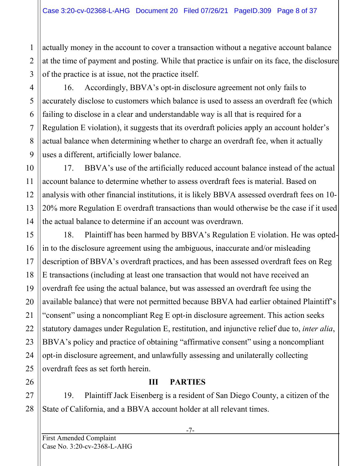actually money in the account to cover a transaction without a negative account balance at the time of payment and posting. While that practice is unfair on its face, the disclosure of the practice is at issue, not the practice itself.

16. Accordingly, BBVA's opt-in disclosure agreement not only fails to accurately disclose to customers which balance is used to assess an overdraft fee (which failing to disclose in a clear and understandable way is all that is required for a Regulation E violation), it suggests that its overdraft policies apply an account holder's actual balance when determining whether to charge an overdraft fee, when it actually uses a different, artificially lower balance.

17. BBVA's use of the artificially reduced account balance instead of the actual account balance to determine whether to assess overdraft fees is material. Based on analysis with other financial institutions, it is likely BBVA assessed overdraft fees on 10- 20% more Regulation E overdraft transactions than would otherwise be the case if it used the actual balance to determine if an account was overdrawn.

18. Plaintiff has been harmed by BBVA's Regulation E violation. He was optedin to the disclosure agreement using the ambiguous, inaccurate and/or misleading description of BBVA's overdraft practices, and has been assessed overdraft fees on Reg E transactions (including at least one transaction that would not have received an overdraft fee using the actual balance, but was assessed an overdraft fee using the available balance) that were not permitted because BBVA had earlier obtained Plaintiff's "consent" using a noncompliant Reg E opt-in disclosure agreement. This action seeks statutory damages under Regulation E, restitution, and injunctive relief due to, *inter alia*, BBVA's policy and practice of obtaining "affirmative consent" using a noncompliant opt-in disclosure agreement, and unlawfully assessing and unilaterally collecting overdraft fees as set forth herein.

# **III PARTIES**

19. Plaintiff Jack Eisenberg is a resident of San Diego County, a citizen of the State of California, and a BBVA account holder at all relevant times.

1

2

3

4

5

6

7

8

9

10

11

12

13

14

15

16

17

18

19

20

21

22

23

24

25

26

27

28

-7-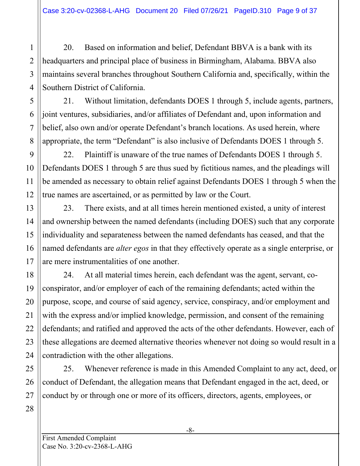20. Based on information and belief, Defendant BBVA is a bank with its headquarters and principal place of business in Birmingham, Alabama. BBVA also maintains several branches throughout Southern California and, specifically, within the Southern District of California.

21. Without limitation, defendants DOES 1 through 5, include agents, partners, joint ventures, subsidiaries, and/or affiliates of Defendant and, upon information and belief, also own and/or operate Defendant's branch locations. As used herein, where appropriate, the term "Defendant" is also inclusive of Defendants DOES 1 through 5.

22. Plaintiff is unaware of the true names of Defendants DOES 1 through 5. Defendants DOES 1 through 5 are thus sued by fictitious names, and the pleadings will be amended as necessary to obtain relief against Defendants DOES 1 through 5 when the true names are ascertained, or as permitted by law or the Court.

23. There exists, and at all times herein mentioned existed, a unity of interest and ownership between the named defendants (including DOES) such that any corporate individuality and separateness between the named defendants has ceased, and that the named defendants are *alter egos* in that they effectively operate as a single enterprise, or are mere instrumentalities of one another.

24. At all material times herein, each defendant was the agent, servant, coconspirator, and/or employer of each of the remaining defendants; acted within the purpose, scope, and course of said agency, service, conspiracy, and/or employment and with the express and/or implied knowledge, permission, and consent of the remaining defendants; and ratified and approved the acts of the other defendants. However, each of these allegations are deemed alternative theories whenever not doing so would result in a contradiction with the other allegations.

25. Whenever reference is made in this Amended Complaint to any act, deed, or conduct of Defendant, the allegation means that Defendant engaged in the act, deed, or conduct by or through one or more of its officers, directors, agents, employees, or

1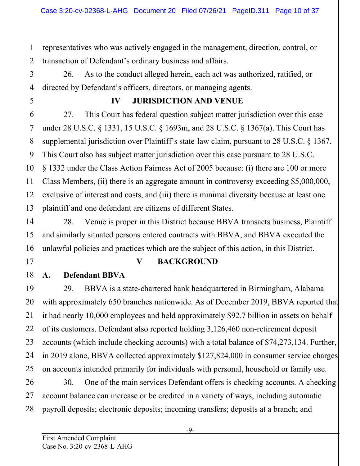2 representatives who was actively engaged in the management, direction, control, or transaction of Defendant's ordinary business and affairs.

26. As to the conduct alleged herein, each act was authorized, ratified, or directed by Defendant's officers, directors, or managing agents.

#### **IV JURISDICTION AND VENUE**

27. This Court has federal question subject matter jurisdiction over this case under 28 U.S.C. § 1331, 15 U.S.C. § 1693m, and 28 U.S.C. § 1367(a). This Court has supplemental jurisdiction over Plaintiff's state-law claim, pursuant to 28 U.S.C. § 1367. This Court also has subject matter jurisdiction over this case pursuant to 28 U.S.C. § 1332 under the Class Action Fairness Act of 2005 because: (i) there are 100 or more Class Members, (ii) there is an aggregate amount in controversy exceeding \$5,000,000, exclusive of interest and costs, and (iii) there is minimal diversity because at least one plaintiff and one defendant are citizens of different States.

28. Venue is proper in this District because BBVA transacts business, Plaintiff and similarly situated persons entered contracts with BBVA, and BBVA executed the unlawful policies and practices which are the subject of this action, in this District.

# **V BACKGROUND**

# **A. Defendant BBVA**

29. BBVA is a state-chartered bank headquartered in Birmingham, Alabama with approximately 650 branches nationwide. As of December 2019, BBVA reported that it had nearly 10,000 employees and held approximately \$92.7 billion in assets on behalf of its customers. Defendant also reported holding 3,126,460 non-retirement deposit accounts (which include checking accounts) with a total balance of \$74,273,134. Further, in 2019 alone, BBVA collected approximately \$127,824,000 in consumer service charges on accounts intended primarily for individuals with personal, household or family use.

30. One of the main services Defendant offers is checking accounts. A checking account balance can increase or be credited in a variety of ways, including automatic payroll deposits; electronic deposits; incoming transfers; deposits at a branch; and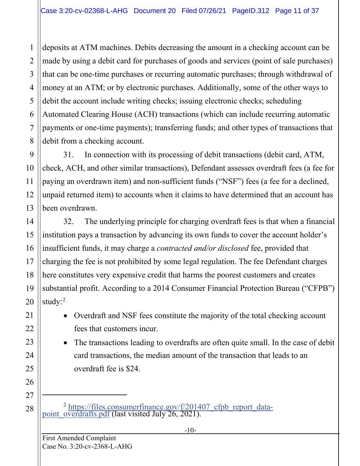deposits at ATM machines. Debits decreasing the amount in a checking account can be made by using a debit card for purchases of goods and services (point of sale purchases) that can be one-time purchases or recurring automatic purchases; through withdrawal of money at an ATM; or by electronic purchases. Additionally, some of the other ways to debit the account include writing checks; issuing electronic checks; scheduling Automated Clearing House (ACH) transactions (which can include recurring automatic payments or one-time payments); transferring funds; and other types of transactions that debit from a checking account.

31. In connection with its processing of debit transactions (debit card, ATM, check, ACH, and other similar transactions), Defendant assesses overdraft fees (a fee for paying an overdrawn item) and non-sufficient funds ("NSF") fees (a fee for a declined, unpaid returned item) to accounts when it claims to have determined that an account has been overdrawn.

32. The underlying principle for charging overdraft fees is that when a financial institution pays a transaction by advancing its own funds to cover the account holder's insufficient funds, it may charge a *contracted and/or disclosed* fee, provided that charging the fee is not prohibited by some legal regulation. The fee Defendant charges here constitutes very expensive credit that harms the poorest customers and creates substantial profit. According to a 2014 Consumer Financial Protection Bureau ("CFPB") study:<sup>[2](#page-10-0)</sup>

- Overdraft and NSF fees constitute the majority of the total checking account fees that customers incur.
- The transactions leading to overdrafts are often quite small. In the case of debit card transactions, the median amount of the transaction that leads to an overdraft fee is \$24.

<sup>2</sup> [https://files.consumerfinance.gov/f/201407\\_cfpb\\_report\\_data-](https://files.consumerfinance.gov/f/201407_cfpb_report_data-point_overdrafts.pdf) [point\\_overdrafts.pdf](https://files.consumerfinance.gov/f/201407_cfpb_report_data-point_overdrafts.pdf) (last visited July 26, 2021).

1

2

3

4

5

6

7

8

9

10

11

12

13

14

15

16

17

18

19

20

21

22

23

24

25

26

<span id="page-10-0"></span>27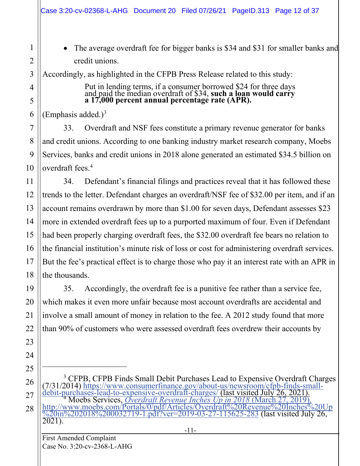• The average overdraft fee for bigger banks is \$34 and \$31 for smaller banks and credit unions.

Accordingly, as highlighted in the CFPB Press Release related to this study:

Put in lending terms, if a consumer borrowed \$24 for three days and paid the median overdraft of \$34, **such a loan would carry a 17,000 percent annual percentage rate (APR).**

(Emphasis added.) $3$ 

1

2

3

4

5

6

7

8

9

10

11

12

13

15

17

19

20

21

22

23

24

25

<span id="page-11-1"></span>26

33. Overdraft and NSF fees constitute a primary revenue generator for banks and credit unions. According to one banking industry market research company, Moebs Services, banks and credit unions in 2018 alone generated an estimated \$34.5 billion on overdraft fees.<sup>4</sup>

14 16 18 34. Defendant's financial filings and practices reveal that it has followed these trends to the letter. Defendant charges an overdraft/NSF fee of \$32.00 per item, and if an account remains overdrawn by more than \$1.00 for seven days, Defendant assesses \$23 more in extended overdraft fees up to a purported maximum of four. Even if Defendant had been properly charging overdraft fees, the \$32.00 overdraft fee bears no relation to the financial institution's minute risk of loss or cost for administering overdraft services. But the fee's practical effect is to charge those who pay it an interest rate with an APR in the thousands.

35. Accordingly, the overdraft fee is a punitive fee rather than a service fee, which makes it even more unfair because most account overdrafts are accidental and involve a small amount of money in relation to the fee. A 2012 study found that more than 90% of customers who were assessed overdraft fees overdrew their accounts by

<span id="page-11-0"></span>27 28 <sup>3</sup> CFPB, CFPB Finds Small Debit Purchases Lead to Expensive Overdraft Charges<br>(7/31/2014) [https://www.consumerfinance.gov/about-us/newsroom/cfpb-finds-small-](https://www.consumerfinance.gov/about-us/newsroom/cfpb-finds-small-debit-purchases-lead-to-expensive-overdraft-charges/)<br>[debit-purchases-lead-to-expensive-overdraft-charges/](https://www.consumerfinance.gov/about-us/newsroom/cfpb-finds-small-debit-purchases-lead-to-expensive-overdraft-charges/) (last visi

First Amended Complaint Case No. 3:20-cv-2368-L-AHG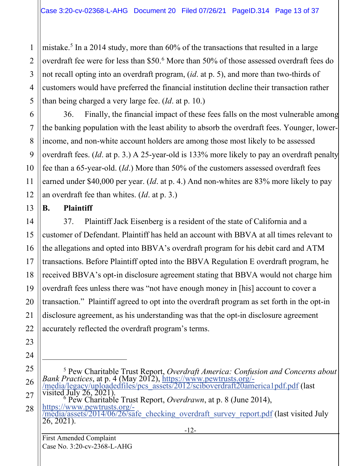mistake.<sup>[5](#page-12-0)</sup> In a 2014 study, more than  $60\%$  of the transactions that resulted in a large overdraft fee were for less than \$50.[6](#page-12-1) More than 50% of those assessed overdraft fees do not recall opting into an overdraft program, (*id*. at p. 5), and more than two-thirds of customers would have preferred the financial institution decline their transaction rather than being charged a very large fee. (*Id*. at p. 10.)

36. Finally, the financial impact of these fees falls on the most vulnerable among the banking population with the least ability to absorb the overdraft fees. Younger, lowerincome, and non-white account holders are among those most likely to be assessed overdraft fees. (*Id*. at p. 3.) A 25-year-old is 133% more likely to pay an overdraft penalty fee than a 65-year-old. (*Id*.) More than 50% of the customers assessed overdraft fees earned under \$40,000 per year. (*Id*. at p. 4.) And non-whites are 83% more likely to pay an overdraft fee than whites. (*Id*. at p. 3.)

#### **B. Plaintiff**

1

2

3

4

5

6

7

8

9

10

11

12

13

14

15

16

17

18

19

20

21

22

23

24

<span id="page-12-0"></span>25

26

<span id="page-12-1"></span>27

37. Plaintiff Jack Eisenberg is a resident of the state of California and a customer of Defendant. Plaintiff has held an account with BBVA at all times relevant to the allegations and opted into BBVA's overdraft program for his debit card and ATM transactions. Before Plaintiff opted into the BBVA Regulation E overdraft program, he received BBVA's opt-in disclosure agreement stating that BBVA would not charge him overdraft fees unless there was "not have enough money in [his] account to cover a transaction." Plaintiff agreed to opt into the overdraft program as set forth in the opt-in disclosure agreement, as his understanding was that the opt-in disclosure agreement accurately reflected the overdraft program's terms.

- <sup>5</sup> Pew Charitable Trust Report, *Overdraft America: Confusion and Concerns about*<br> *Bank Practices*, at p. 4 (May 2012), https://www.pewtrusts.org/-<br>
/media/legacy/uploadedfiles/pcs\_assets/2012/sciboverdraft20america1pdf
- 28

First Amended Complaint Case No. 3:20-cv-2368-L-AHG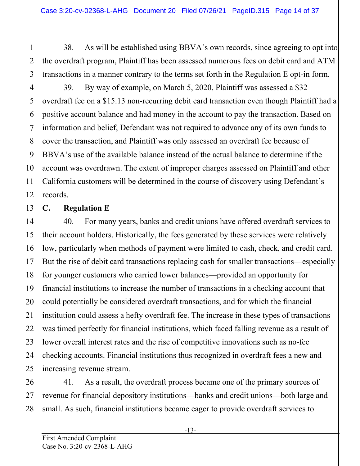38. As will be established using BBVA's own records, since agreeing to opt into the overdraft program, Plaintiff has been assessed numerous fees on debit card and ATM transactions in a manner contrary to the terms set forth in the Regulation E opt-in form.

39. By way of example, on March 5, 2020, Plaintiff was assessed a \$32 overdraft fee on a \$15.13 non-recurring debit card transaction even though Plaintiff had a positive account balance and had money in the account to pay the transaction. Based on information and belief, Defendant was not required to advance any of its own funds to cover the transaction, and Plaintiff was only assessed an overdraft fee because of BBVA's use of the available balance instead of the actual balance to determine if the account was overdrawn. The extent of improper charges assessed on Plaintiff and other California customers will be determined in the course of discovery using Defendant's records.

#### **C. Regulation E**

40. For many years, banks and credit unions have offered overdraft services to their account holders. Historically, the fees generated by these services were relatively low, particularly when methods of payment were limited to cash, check, and credit card. But the rise of debit card transactions replacing cash for smaller transactions—especially for younger customers who carried lower balances—provided an opportunity for financial institutions to increase the number of transactions in a checking account that could potentially be considered overdraft transactions, and for which the financial institution could assess a hefty overdraft fee. The increase in these types of transactions was timed perfectly for financial institutions, which faced falling revenue as a result of lower overall interest rates and the rise of competitive innovations such as no-fee checking accounts. Financial institutions thus recognized in overdraft fees a new and increasing revenue stream.

41. As a result, the overdraft process became one of the primary sources of revenue for financial depository institutions—banks and credit unions—both large and small. As such, financial institutions became eager to provide overdraft services to

1

2

3

4

5

6

7

8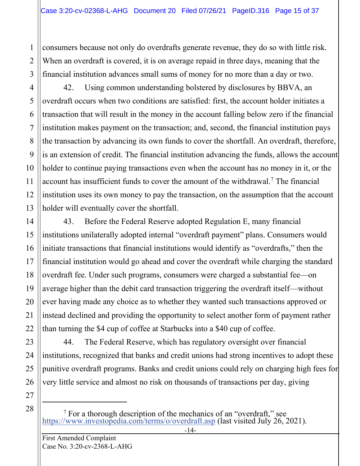consumers because not only do overdrafts generate revenue, they do so with little risk. When an overdraft is covered, it is on average repaid in three days, meaning that the financial institution advances small sums of money for no more than a day or two.

42. Using common understanding bolstered by disclosures by BBVA, an overdraft occurs when two conditions are satisfied: first, the account holder initiates a transaction that will result in the money in the account falling below zero if the financial institution makes payment on the transaction; and, second, the financial institution pays the transaction by advancing its own funds to cover the shortfall. An overdraft, therefore, is an extension of credit. The financial institution advancing the funds, allows the account holder to continue paying transactions even when the account has no money in it, or the account has insufficient funds to cover the amount of the withdrawal.<sup>[7](#page-14-0)</sup> The financial institution uses its own money to pay the transaction, on the assumption that the account holder will eventually cover the shortfall.

43. Before the Federal Reserve adopted Regulation E, many financial institutions unilaterally adopted internal "overdraft payment" plans. Consumers would initiate transactions that financial institutions would identify as "overdrafts," then the financial institution would go ahead and cover the overdraft while charging the standard overdraft fee. Under such programs, consumers were charged a substantial fee—on average higher than the debit card transaction triggering the overdraft itself—without ever having made any choice as to whether they wanted such transactions approved or instead declined and providing the opportunity to select another form of payment rather than turning the \$4 cup of coffee at Starbucks into a \$40 cup of coffee.

44. The Federal Reserve, which has regulatory oversight over financial institutions, recognized that banks and credit unions had strong incentives to adopt these punitive overdraft programs. Banks and credit unions could rely on charging high fees for very little service and almost no risk on thousands of transactions per day, giving

<span id="page-14-0"></span>

<sup>7</sup> [For a thorough description of the mechanics o](https://www.investopedia.com/terms/o/overdraft.asp)f an "overdraft," see <https://www.investopedia.com/terms/o/overdraft.asp> (last visited July 26, 2021).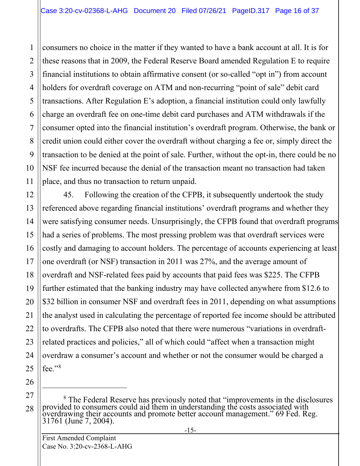2 3 4 5 6 7 8 9 10 consumers no choice in the matter if they wanted to have a bank account at all. It is for these reasons that in 2009, the Federal Reserve Board amended Regulation E to require financial institutions to obtain affirmative consent (or so-called "opt in") from account holders for overdraft coverage on ATM and non-recurring "point of sale" debit card transactions. After Regulation E's adoption, a financial institution could only lawfully charge an overdraft fee on one-time debit card purchases and ATM withdrawals if the consumer opted into the financial institution's overdraft program. Otherwise, the bank or credit union could either cover the overdraft without charging a fee or, simply direct the transaction to be denied at the point of sale. Further, without the opt-in, there could be no NSF fee incurred because the denial of the transaction meant no transaction had taken place, and thus no transaction to return unpaid.

45. Following the creation of the CFPB, it subsequently undertook the study referenced above regarding financial institutions' overdraft programs and whether they were satisfying consumer needs. Unsurprisingly, the CFPB found that overdraft programs had a series of problems. The most pressing problem was that overdraft services were costly and damaging to account holders. The percentage of accounts experiencing at least one overdraft (or NSF) transaction in 2011 was 27%, and the average amount of overdraft and NSF-related fees paid by accounts that paid fees was \$225. The CFPB further estimated that the banking industry may have collected anywhere from \$12.6 to \$32 billion in consumer NSF and overdraft fees in 2011, depending on what assumptions the analyst used in calculating the percentage of reported fee income should be attributed to overdrafts. The CFPB also noted that there were numerous "variations in overdraftrelated practices and policies," all of which could "affect when a transaction might overdraw a consumer's account and whether or not the consumer would be charged a fee."[8](#page-15-0)

26 27

<span id="page-15-0"></span>28

1

11

12

13

14

15

16

17

18

19

20

21

22

23

24

<sup>&</sup>lt;sup>8</sup> The Federal Reserve has previously noted that "improvements in the disclosures provided to consumers could aid them in understanding the costs associated with overdrawing their accounts and promote better account management." 69 Fed. Reg. 31761 (June 7, 2004).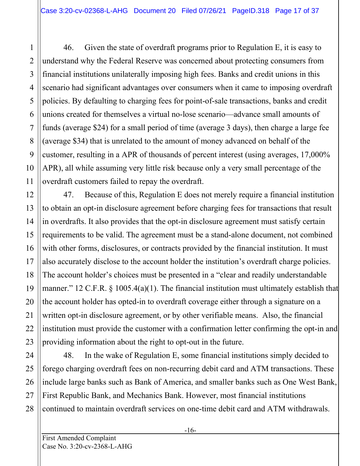46. Given the state of overdraft programs prior to Regulation E, it is easy to understand why the Federal Reserve was concerned about protecting consumers from financial institutions unilaterally imposing high fees. Banks and credit unions in this scenario had significant advantages over consumers when it came to imposing overdraft policies. By defaulting to charging fees for point-of-sale transactions, banks and credit unions created for themselves a virtual no-lose scenario—advance small amounts of funds (average \$24) for a small period of time (average 3 days), then charge a large fee (average \$34) that is unrelated to the amount of money advanced on behalf of the customer, resulting in a APR of thousands of percent interest (using averages, 17,000% APR), all while assuming very little risk because only a very small percentage of the overdraft customers failed to repay the overdraft.

47. Because of this, Regulation E does not merely require a financial institution to obtain an opt-in disclosure agreement before charging fees for transactions that result in overdrafts. It also provides that the opt-in disclosure agreement must satisfy certain requirements to be valid. The agreement must be a stand-alone document, not combined with other forms, disclosures, or contracts provided by the financial institution. It must also accurately disclose to the account holder the institution's overdraft charge policies. The account holder's choices must be presented in a "clear and readily understandable manner." 12 C.F.R. § 1005.4(a)(1). The financial institution must ultimately establish that the account holder has opted-in to overdraft coverage either through a signature on a written opt-in disclosure agreement, or by other verifiable means. Also, the financial institution must provide the customer with a confirmation letter confirming the opt-in and providing information about the right to opt-out in the future.

48. In the wake of Regulation E, some financial institutions simply decided to forego charging overdraft fees on non-recurring debit card and ATM transactions. These include large banks such as Bank of America, and smaller banks such as One West Bank, First Republic Bank, and Mechanics Bank. However, most financial institutions continued to maintain overdraft services on one-time debit card and ATM withdrawals.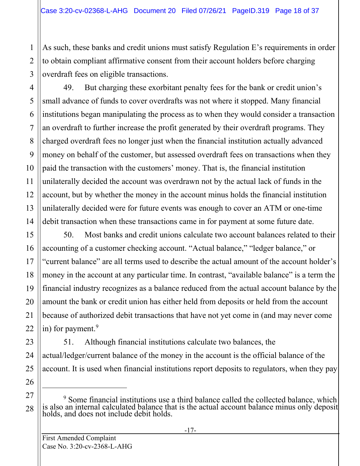As such, these banks and credit unions must satisfy Regulation E's requirements in order to obtain compliant affirmative consent from their account holders before charging overdraft fees on eligible transactions.

49. But charging these exorbitant penalty fees for the bank or credit union's small advance of funds to cover overdrafts was not where it stopped. Many financial institutions began manipulating the process as to when they would consider a transaction an overdraft to further increase the profit generated by their overdraft programs. They charged overdraft fees no longer just when the financial institution actually advanced money on behalf of the customer, but assessed overdraft fees on transactions when they paid the transaction with the customers' money. That is, the financial institution unilaterally decided the account was overdrawn not by the actual lack of funds in the account, but by whether the money in the account minus holds the financial institution unilaterally decided were for future events was enough to cover an ATM or one-time debit transaction when these transactions came in for payment at some future date.

50. Most banks and credit unions calculate two account balances related to their accounting of a customer checking account. "Actual balance," "ledger balance," or "current balance" are all terms used to describe the actual amount of the account holder's money in the account at any particular time. In contrast, "available balance" is a term the financial industry recognizes as a balance reduced from the actual account balance by the amount the bank or credit union has either held from deposits or held from the account because of authorized debit transactions that have not yet come in (and may never come in) for payment.<sup>[9](#page-17-0)</sup>

51. Although financial institutions calculate two balances, the actual/ledger/current balance of the money in the account is the official balance of the account. It is used when financial institutions report deposits to regulators, when they pay

1

2

3

4

5

6

7

8

9

10

11

12

13

14

15

16

17

18

19

20

21

22

23

24

25

<span id="page-17-0"></span><sup>27</sup> 28 <sup>9</sup> Some financial institutions use a third balance called the collected balance, which is also an internal calculated balance that is the actual account balance minus only deposit holds, and does not include debit holds.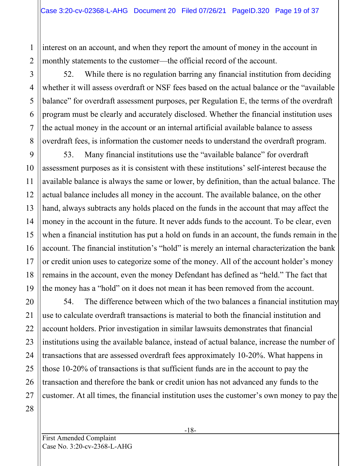interest on an account, and when they report the amount of money in the account in monthly statements to the customer—the official record of the account.

52. While there is no regulation barring any financial institution from deciding whether it will assess overdraft or NSF fees based on the actual balance or the "available balance" for overdraft assessment purposes, per Regulation E, the terms of the overdraft program must be clearly and accurately disclosed. Whether the financial institution uses the actual money in the account or an internal artificial available balance to assess overdraft fees, is information the customer needs to understand the overdraft program.

53. Many financial institutions use the "available balance" for overdraft assessment purposes as it is consistent with these institutions' self-interest because the available balance is always the same or lower, by definition, than the actual balance. The actual balance includes all money in the account. The available balance, on the other hand, always subtracts any holds placed on the funds in the account that may affect the money in the account in the future. It never adds funds to the account. To be clear, even when a financial institution has put a hold on funds in an account, the funds remain in the account. The financial institution's "hold" is merely an internal characterization the bank or credit union uses to categorize some of the money. All of the account holder's money remains in the account, even the money Defendant has defined as "held." The fact that the money has a "hold" on it does not mean it has been removed from the account.

54. The difference between which of the two balances a financial institution may use to calculate overdraft transactions is material to both the financial institution and account holders. Prior investigation in similar lawsuits demonstrates that financial institutions using the available balance, instead of actual balance, increase the number of transactions that are assessed overdraft fees approximately 10-20%. What happens in those 10-20% of transactions is that sufficient funds are in the account to pay the transaction and therefore the bank or credit union has not advanced any funds to the customer. At all times, the financial institution uses the customer's own money to pay the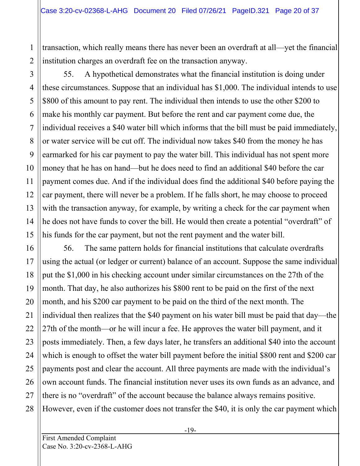transaction, which really means there has never been an overdraft at all—yet the financial institution charges an overdraft fee on the transaction anyway.

3 4 5 6 7 8 9 10 11 12 13 14 15 55. A hypothetical demonstrates what the financial institution is doing under these circumstances. Suppose that an individual has \$1,000. The individual intends to use \$800 of this amount to pay rent. The individual then intends to use the other \$200 to make his monthly car payment. But before the rent and car payment come due, the individual receives a \$40 water bill which informs that the bill must be paid immediately, or water service will be cut off. The individual now takes \$40 from the money he has earmarked for his car payment to pay the water bill. This individual has not spent more money that he has on hand—but he does need to find an additional \$40 before the car payment comes due. And if the individual does find the additional \$40 before paying the car payment, there will never be a problem. If he falls short, he may choose to proceed with the transaction anyway, for example, by writing a check for the car payment when he does not have funds to cover the bill. He would then create a potential "overdraft" of his funds for the car payment, but not the rent payment and the water bill.

56. The same pattern holds for financial institutions that calculate overdrafts using the actual (or ledger or current) balance of an account. Suppose the same individual put the \$1,000 in his checking account under similar circumstances on the 27th of the month. That day, he also authorizes his \$800 rent to be paid on the first of the next month, and his \$200 car payment to be paid on the third of the next month. The individual then realizes that the \$40 payment on his water bill must be paid that day—the 27th of the month—or he will incur a fee. He approves the water bill payment, and it posts immediately. Then, a few days later, he transfers an additional \$40 into the account which is enough to offset the water bill payment before the initial \$800 rent and \$200 car payments post and clear the account. All three payments are made with the individual's own account funds. The financial institution never uses its own funds as an advance, and there is no "overdraft" of the account because the balance always remains positive. However, even if the customer does not transfer the \$40, it is only the car payment which

1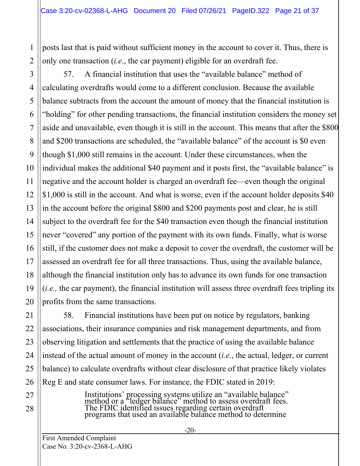posts last that is paid without sufficient money in the account to cover it. Thus, there is only one transaction (*i.e*., the car payment) eligible for an overdraft fee.

57. A financial institution that uses the "available balance" method of calculating overdrafts would come to a different conclusion. Because the available balance subtracts from the account the amount of money that the financial institution is "holding" for other pending transactions, the financial institution considers the money set aside and unavailable, even though it is still in the account. This means that after the \$800 and \$200 transactions are scheduled, the "available balance" of the account is \$0 even though \$1,000 still remains in the account. Under these circumstances, when the individual makes the additional \$40 payment and it posts first, the "available balance" is negative and the account holder is charged an overdraft fee—even though the original \$1,000 is still in the account. And what is worse, even if the account holder deposits \$40 in the account before the original \$800 and \$200 payments post and clear, he is still subject to the overdraft fee for the \$40 transaction even though the financial institution never "covered" any portion of the payment with its own funds. Finally, what is worse still, if the customer does not make a deposit to cover the overdraft, the customer will be assessed an overdraft fee for all three transactions. Thus, using the available balance, although the financial institution only has to advance its own funds for one transaction (*i.e.,* the car payment), the financial institution will assess three overdraft fees tripling its profits from the same transactions.

58. Financial institutions have been put on notice by regulators, banking associations, their insurance companies and risk management departments, and from observing litigation and settlements that the practice of using the available balance instead of the actual amount of money in the account (*i.e.*, the actual, ledger, or current balance) to calculate overdrafts without clear disclosure of that practice likely violates Reg E and state consumer laws. For instance, the FDIC stated in 2019:

> Institutions' processing systems utilize an "available balance" method or a "ledger balance" method to assess overdraft fees. The FDIC identified issues regarding certain overdraft programs that used an available balance method to determine

1

2

3

4

5

6

7

8

9

10

11

12

13

14

15

16

17

18

19

20

21

22

23

24

25

26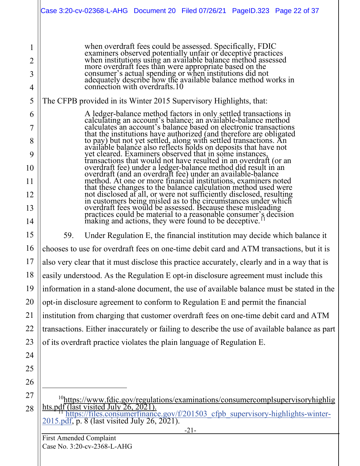|                                                | Case 3:20-cv-02368-L-AHG Document 20 Filed 07/26/21 PageID.323 Page 22 of 37                                                                                                                                                                                                                                                                                                                                                                                                                                                                                                                                                                                                                                                                                                                                                                                                                                                                                                                                                                                                                                                                                     |  |  |  |  |
|------------------------------------------------|------------------------------------------------------------------------------------------------------------------------------------------------------------------------------------------------------------------------------------------------------------------------------------------------------------------------------------------------------------------------------------------------------------------------------------------------------------------------------------------------------------------------------------------------------------------------------------------------------------------------------------------------------------------------------------------------------------------------------------------------------------------------------------------------------------------------------------------------------------------------------------------------------------------------------------------------------------------------------------------------------------------------------------------------------------------------------------------------------------------------------------------------------------------|--|--|--|--|
| $\overline{2}$<br>3<br>4                       | when overdraft fees could be assessed. Specifically, FDIC<br>examiners observed potentially unfair or deceptive practices<br>when institutions using an available balance method assessed<br>more overdraft fees than were appropriate based on the<br>consumer's actual spending or when institutions did not<br>adequately describe how the available balance method works in<br>connection with overdrafts.10                                                                                                                                                                                                                                                                                                                                                                                                                                                                                                                                                                                                                                                                                                                                                 |  |  |  |  |
| 5                                              | The CFPB provided in its Winter 2015 Supervisory Highlights, that:                                                                                                                                                                                                                                                                                                                                                                                                                                                                                                                                                                                                                                                                                                                                                                                                                                                                                                                                                                                                                                                                                               |  |  |  |  |
| 6<br>7<br>8<br>9<br>10<br>11<br>12<br>13<br>14 | A ledger-balance method factors in only settled transactions in<br>calculating an account's balance; an available-balance method<br>calculates an account's balance based on electronic transactions<br>that the institutions have authorized (and therefore are obligated<br>to pay) but not yet settled, along with settled transactions. An available balance also reflects holds on deposits that have not<br>yet cleared. Examiners observed that in some instances,<br>transactions that would not have resulted in an overdraft (or an<br>overdraft fee) under a ledger-balance method did result in an<br>overdraft (and an overdraft fee) under an available-balance<br>method. At one or more financial institutions, examiners noted<br>that these changes to the balance calculation method used were<br>not disclosed at all, or were not sufficiently disclosed, resulting<br>in customers being misled as to the circumstances under which<br>overdraft fees would be assessed. Because these misleading<br>practices could be material to a reasonable consumer's decision<br>making and actions, they were found to be deceptive. <sup>11</sup> |  |  |  |  |
| 15                                             | 59.<br>Under Regulation E, the financial institution may decide which balance it                                                                                                                                                                                                                                                                                                                                                                                                                                                                                                                                                                                                                                                                                                                                                                                                                                                                                                                                                                                                                                                                                 |  |  |  |  |
| 16                                             | chooses to use for overdraft fees on one-time debit card and ATM transactions, but it is                                                                                                                                                                                                                                                                                                                                                                                                                                                                                                                                                                                                                                                                                                                                                                                                                                                                                                                                                                                                                                                                         |  |  |  |  |
| 17                                             | also very clear that it must disclose this practice accurately, clearly and in a way that is                                                                                                                                                                                                                                                                                                                                                                                                                                                                                                                                                                                                                                                                                                                                                                                                                                                                                                                                                                                                                                                                     |  |  |  |  |
| 18                                             | easily understood. As the Regulation E opt-in disclosure agreement must include this                                                                                                                                                                                                                                                                                                                                                                                                                                                                                                                                                                                                                                                                                                                                                                                                                                                                                                                                                                                                                                                                             |  |  |  |  |
| 19                                             | information in a stand-alone document, the use of available balance must be stated in the                                                                                                                                                                                                                                                                                                                                                                                                                                                                                                                                                                                                                                                                                                                                                                                                                                                                                                                                                                                                                                                                        |  |  |  |  |
| 20                                             | opt-in disclosure agreement to conform to Regulation E and permit the financial                                                                                                                                                                                                                                                                                                                                                                                                                                                                                                                                                                                                                                                                                                                                                                                                                                                                                                                                                                                                                                                                                  |  |  |  |  |
| 21                                             | institution from charging that customer overdraft fees on one-time debit card and ATM                                                                                                                                                                                                                                                                                                                                                                                                                                                                                                                                                                                                                                                                                                                                                                                                                                                                                                                                                                                                                                                                            |  |  |  |  |
| 22                                             | transactions. Either inaccurately or failing to describe the use of available balance as part                                                                                                                                                                                                                                                                                                                                                                                                                                                                                                                                                                                                                                                                                                                                                                                                                                                                                                                                                                                                                                                                    |  |  |  |  |
| 23                                             | of its overdraft practice violates the plain language of Regulation E.                                                                                                                                                                                                                                                                                                                                                                                                                                                                                                                                                                                                                                                                                                                                                                                                                                                                                                                                                                                                                                                                                           |  |  |  |  |
| 24                                             |                                                                                                                                                                                                                                                                                                                                                                                                                                                                                                                                                                                                                                                                                                                                                                                                                                                                                                                                                                                                                                                                                                                                                                  |  |  |  |  |
| 25                                             |                                                                                                                                                                                                                                                                                                                                                                                                                                                                                                                                                                                                                                                                                                                                                                                                                                                                                                                                                                                                                                                                                                                                                                  |  |  |  |  |
| 26                                             |                                                                                                                                                                                                                                                                                                                                                                                                                                                                                                                                                                                                                                                                                                                                                                                                                                                                                                                                                                                                                                                                                                                                                                  |  |  |  |  |
| 27<br>28                                       | <sup>10</sup> https://www.fdic.gov/regulations/examinations/consumercomplsupervisoryhighlig<br>hts.pdf<br><sup>11</sup> https://files.consumerfinance.gov/f/201503_cfpb_supervisory-highlights-winter-<br>2015.pdf, p. 8 (last visited July 26, 2021).                                                                                                                                                                                                                                                                                                                                                                                                                                                                                                                                                                                                                                                                                                                                                                                                                                                                                                           |  |  |  |  |

<span id="page-21-1"></span><span id="page-21-0"></span>First Amended Complaint Case No. 3:20-cv-2368-L-AHG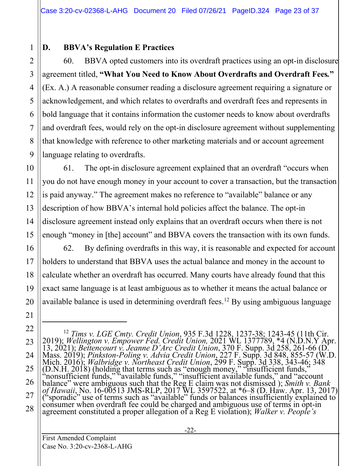# **D. BBVA's Regulation E Practices**

1

2

3

4

5

6

7

8

9

10

11

12

13

14

15

16

17

18

19

20

21

<span id="page-22-0"></span>22

23

24

25

26

27

28

60. BBVA opted customers into its overdraft practices using an opt-in disclosure agreement titled, **"What You Need to Know About Overdrafts and Overdraft Fees***.***"**  (Ex. A.) A reasonable consumer reading a disclosure agreement requiring a signature or acknowledgement, and which relates to overdrafts and overdraft fees and represents in bold language that it contains information the customer needs to know about overdrafts and overdraft fees, would rely on the opt-in disclosure agreement without supplementing that knowledge with reference to other marketing materials and or account agreement language relating to overdrafts.

61. The opt-in disclosure agreement explained that an overdraft "occurs when you do not have enough money in your account to cover a transaction, but the transaction is paid anyway." The agreement makes no reference to "available" balance or any description of how BBVA's internal hold policies affect the balance. The opt-in disclosure agreement instead only explains that an overdraft occurs when there is not enough "money in [the] account" and BBVA covers the transaction with its own funds.

62. By defining overdrafts in this way, it is reasonable and expected for account holders to understand that BBVA uses the actual balance and money in the account to calculate whether an overdraft has occurred. Many courts have already found that this exact same language is at least ambiguous as to whether it means the actual balance or available balance is used in determining overdraft fees.<sup>[12](#page-22-0)</sup> By using ambiguous language

<sup>&</sup>lt;sup>12</sup> *Tims v. LGE Cmty. Credit Union,* 935 F.3d 1228, 1237-38; 1243-45 (11th Cir. 2019); *Wellington v. Empower Fed. Credit Union,* 2021 WL 1377789, \*4 (N.D.N.Y Apr. 13, 2021); *Bettencourt v. Jeanne D'Arc Credit Union*, "nonsufficient funds," "available funds," "insufficient available funds," and "account balance" were ambiguous such that the Reg E claim was not dismissed ); *Smith v. Bank*  of Hawaii, No. 16-00513 JMS-RLP, 2017 WL 3597522, at \*6–8 (D. Haw. Apr. 13, 2017)<br>("sporadic" use of terms such as "available" funds or balances insufficiently explained to<br>consumer when overdraft fee could be charged and agreement constituted a proper allegation of a Reg E violation); *Walker v. People's*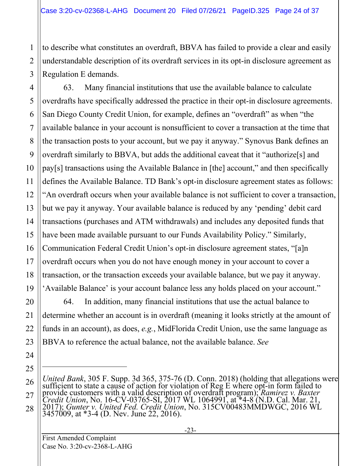to describe what constitutes an overdraft, BBVA has failed to provide a clear and easily understandable description of its overdraft services in its opt-in disclosure agreement as Regulation E demands.

4 6 8 9 10 12 13 14 15 16 18 19 63. Many financial institutions that use the available balance to calculate overdrafts have specifically addressed the practice in their opt-in disclosure agreements. San Diego County Credit Union, for example, defines an "overdraft" as when "the available balance in your account is nonsufficient to cover a transaction at the time that the transaction posts to your account, but we pay it anyway." Synovus Bank defines an overdraft similarly to BBVA, but adds the additional caveat that it "authorize[s] and pay[s] transactions using the Available Balance in [the] account," and then specifically defines the Available Balance. TD Bank's opt-in disclosure agreement states as follows: "An overdraft occurs when your available balance is not sufficient to cover a transaction, but we pay it anyway. Your available balance is reduced by any 'pending' debit card transactions (purchases and ATM withdrawals) and includes any deposited funds that have been made available pursuant to our Funds Availability Policy." Similarly, Communication Federal Credit Union's opt-in disclosure agreement states, "[a]n overdraft occurs when you do not have enough money in your account to cover a transaction, or the transaction exceeds your available balance, but we pay it anyway. 'Available Balance' is your account balance less any holds placed on your account."

64. In addition, many financial institutions that use the actual balance to determine whether an account is in overdraft (meaning it looks strictly at the amount of funds in an account), as does, *e.g.*, MidFlorida Credit Union, use the same language as BBVA to reference the actual balance, not the available balance. *See*

1

2

3

5

7

11

17

20

21

22

23

24

<sup>26</sup> 27 28 *United Bank*, 305 F. Supp. 3d 365, 375-76 (D. Conn. 2018) (holding that allegations were sufficient to state a cause of action for violation of Reg E where opt-in form failed to provide customers with a valid description of overdraft program); *Ramirez v. Baxter Credit Union*, No. 16-CV-03765-SI, 2017 WL 1064991, at \*4-8 (N.D. Cal. Mar. 21, 2017); *Gunter v. United Fed. Credit Union*, No. 315CV00483MMDWGC, 2016 WL 3457009, at \*3-4 (D. Nev. June 22, 2016).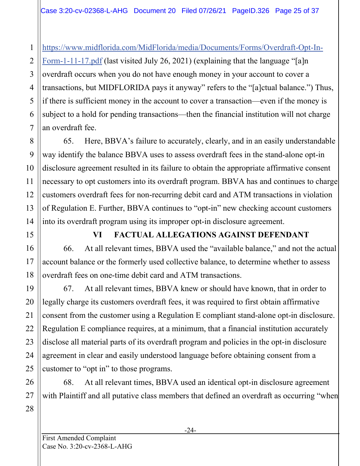[https://www.midflorida.com/MidFlorida/media/Documents/Forms/Overdraft-Opt-In-](https://www.midflorida.com/MidFlorida/media/Documents/Forms/Overdraft-Opt-In-Form-1-11-17.pdf)

[Form-1-11-17.pdf](https://www.midflorida.com/MidFlorida/media/Documents/Forms/Overdraft-Opt-In-Form-1-11-17.pdf) (last visited July 26, 2021) (explaining that the language "[a]n overdraft occurs when you do not have enough money in your account to cover a transactions, but MIDFLORIDA pays it anyway" refers to the "[a]ctual balance.") Thus, if there is sufficient money in the account to cover a transaction—even if the money is subject to a hold for pending transactions—then the financial institution will not charge an overdraft fee.

65. Here, BBVA's failure to accurately, clearly, and in an easily understandable way identify the balance BBVA uses to assess overdraft fees in the stand-alone opt-in disclosure agreement resulted in its failure to obtain the appropriate affirmative consent necessary to opt customers into its overdraft program. BBVA has and continues to charge customers overdraft fees for non-recurring debit card and ATM transactions in violation of Regulation E. Further, BBVA continues to "opt-in" new checking account customers into its overdraft program using its improper opt-in disclosure agreement.

# **VI FACTUAL ALLEGATIONS AGAINST DEFENDANT**

66. At all relevant times, BBVA used the "available balance," and not the actual account balance or the formerly used collective balance, to determine whether to assess overdraft fees on one-time debit card and ATM transactions.

67. At all relevant times, BBVA knew or should have known, that in order to legally charge its customers overdraft fees, it was required to first obtain affirmative consent from the customer using a Regulation E compliant stand-alone opt-in disclosure. Regulation E compliance requires, at a minimum, that a financial institution accurately disclose all material parts of its overdraft program and policies in the opt-in disclosure agreement in clear and easily understood language before obtaining consent from a customer to "opt in" to those programs.

68. At all relevant times, BBVA used an identical opt-in disclosure agreement with Plaintiff and all putative class members that defined an overdraft as occurring "when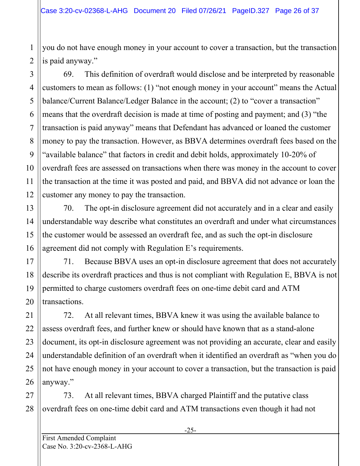you do not have enough money in your account to cover a transaction, but the transaction is paid anyway."

69. This definition of overdraft would disclose and be interpreted by reasonable customers to mean as follows: (1) "not enough money in your account" means the Actual balance/Current Balance/Ledger Balance in the account; (2) to "cover a transaction" means that the overdraft decision is made at time of posting and payment; and (3) "the transaction is paid anyway" means that Defendant has advanced or loaned the customer money to pay the transaction. However, as BBVA determines overdraft fees based on the "available balance" that factors in credit and debit holds, approximately 10-20% of overdraft fees are assessed on transactions when there was money in the account to cover the transaction at the time it was posted and paid, and BBVA did not advance or loan the customer any money to pay the transaction.

70. The opt-in disclosure agreement did not accurately and in a clear and easily understandable way describe what constitutes an overdraft and under what circumstances the customer would be assessed an overdraft fee, and as such the opt-in disclosure agreement did not comply with Regulation E's requirements.

71. Because BBVA uses an opt-in disclosure agreement that does not accurately describe its overdraft practices and thus is not compliant with Regulation E, BBVA is not permitted to charge customers overdraft fees on one-time debit card and ATM transactions.

72. At all relevant times, BBVA knew it was using the available balance to assess overdraft fees, and further knew or should have known that as a stand-alone document, its opt-in disclosure agreement was not providing an accurate, clear and easily understandable definition of an overdraft when it identified an overdraft as "when you do not have enough money in your account to cover a transaction, but the transaction is paid anyway."

27 28 73. At all relevant times, BBVA charged Plaintiff and the putative class overdraft fees on one-time debit card and ATM transactions even though it had not

1

2

3

4

5

6

7

8

9

10

11

12

13

14

15

16

17

18

19

20

21

22

23

24

25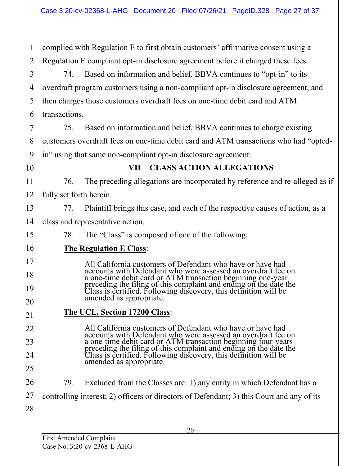1 2 complied with Regulation E to first obtain customers' affirmative consent using a Regulation E compliant opt-in disclosure agreement before it charged these fees.

3 4 5 6 74. Based on information and belief, BBVA continues to "opt-in" to its overdraft program customers using a non-compliant opt-in disclosure agreement, and then charges those customers overdraft fees on one-time debit card and ATM transactions.

75. Based on information and belief, BBVA continues to charge existing customers overdraft fees on one-time debit card and ATM transactions who had "optedin" using that same non-compliant opt-in disclosure agreement.

10

11

12

13

14

15

16

17

18

19

20

21

22

23

24

25

26

7

8

9

# **VII CLASS ACTION ALLEGATIONS**

76. The preceding allegations are incorporated by reference and re-alleged as if fully set forth herein.

77. Plaintiff brings this case, and each of the respective causes of action, as a class and representative action.

78. The "Class" is composed of one of the following:

#### **The Regulation E Class**:

All California customers of Defendant who have or have had accounts with Defendant who were assessed an overdraft fee on a one-time debit card or ATM transaction beginning one-year preceding the filing of this complaint and ending on the date the Class is certified. Following discovery, this definition will be amended as appropriate.

#### **The UCL, Section 17200 Class**:

All California customers of Defendant who have or have had accounts with Defendant who were assessed an overdraft fee on a one-time debit card or ATM transaction beginning four-years preceding the filing of this complaint and ending on the date the Class is certified. Following discovery, this definition will be amended as appropriate.

79. Excluded from the Classes are: 1) any entity in which Defendant has a

controlling interest; 2) officers or directors of Defendant; 3) this Court and any of its

28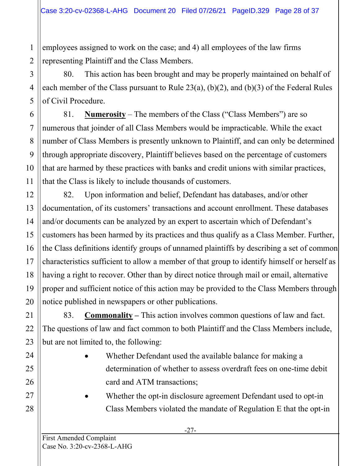employees assigned to work on the case; and 4) all employees of the law firms representing Plaintiff and the Class Members.

80. This action has been brought and may be properly maintained on behalf of each member of the Class pursuant to Rule 23(a), (b)(2), and (b)(3) of the Federal Rules of Civil Procedure.

81. **Numerosity** – The members of the Class ("Class Members") are so numerous that joinder of all Class Members would be impracticable. While the exact number of Class Members is presently unknown to Plaintiff, and can only be determined through appropriate discovery, Plaintiff believes based on the percentage of customers that are harmed by these practices with banks and credit unions with similar practices, that the Class is likely to include thousands of customers.

82. Upon information and belief, Defendant has databases, and/or other documentation, of its customers' transactions and account enrollment. These databases and/or documents can be analyzed by an expert to ascertain which of Defendant's customers has been harmed by its practices and thus qualify as a Class Member. Further, the Class definitions identify groups of unnamed plaintiffs by describing a set of common characteristics sufficient to allow a member of that group to identify himself or herself as having a right to recover. Other than by direct notice through mail or email, alternative proper and sufficient notice of this action may be provided to the Class Members through notice published in newspapers or other publications.

83. **Commonality –** This action involves common questions of law and fact. The questions of law and fact common to both Plaintiff and the Class Members include, but are not limited to, the following:

- Whether Defendant used the available balance for making a determination of whether to assess overdraft fees on one-time debit card and ATM transactions;
- Whether the opt-in disclosure agreement Defendant used to opt-in Class Members violated the mandate of Regulation E that the opt-in

1

2

3

4

5

6

7

8

9

10

11

12

13

14

15

16

17

18

19

20

21

22

23

24

25

26

27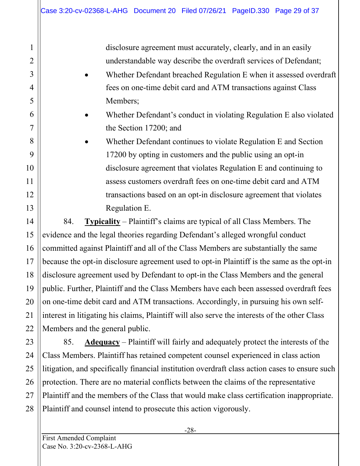disclosure agreement must accurately, clearly, and in an easily understandable way describe the overdraft services of Defendant;

- Whether Defendant breached Regulation E when it assessed overdraft fees on one-time debit card and ATM transactions against Class Members;
- Whether Defendant's conduct in violating Regulation E also violated the Section 17200; and
- Whether Defendant continues to violate Regulation E and Section 17200 by opting in customers and the public using an opt-in disclosure agreement that violates Regulation E and continuing to assess customers overdraft fees on one-time debit card and ATM transactions based on an opt-in disclosure agreement that violates Regulation E.

84. **Typicality** – Plaintiff's claims are typical of all Class Members. The evidence and the legal theories regarding Defendant's alleged wrongful conduct committed against Plaintiff and all of the Class Members are substantially the same because the opt-in disclosure agreement used to opt-in Plaintiff is the same as the opt-in disclosure agreement used by Defendant to opt-in the Class Members and the general public. Further, Plaintiff and the Class Members have each been assessed overdraft fees on one-time debit card and ATM transactions. Accordingly, in pursuing his own selfinterest in litigating his claims, Plaintiff will also serve the interests of the other Class Members and the general public.

85. **Adequacy** – Plaintiff will fairly and adequately protect the interests of the Class Members. Plaintiff has retained competent counsel experienced in class action litigation, and specifically financial institution overdraft class action cases to ensure such protection. There are no material conflicts between the claims of the representative Plaintiff and the members of the Class that would make class certification inappropriate. Plaintiff and counsel intend to prosecute this action vigorously.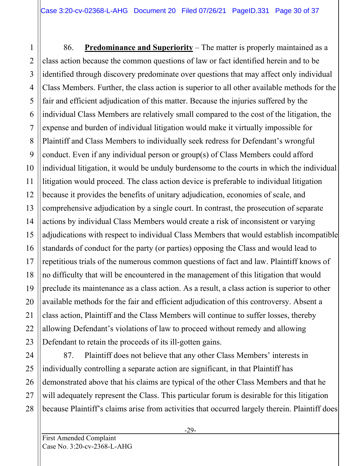86. **Predominance and Superiority** – The matter is properly maintained as a class action because the common questions of law or fact identified herein and to be identified through discovery predominate over questions that may affect only individual Class Members. Further, the class action is superior to all other available methods for the fair and efficient adjudication of this matter. Because the injuries suffered by the individual Class Members are relatively small compared to the cost of the litigation, the expense and burden of individual litigation would make it virtually impossible for Plaintiff and Class Members to individually seek redress for Defendant's wrongful conduct. Even if any individual person or group(s) of Class Members could afford individual litigation, it would be unduly burdensome to the courts in which the individual litigation would proceed. The class action device is preferable to individual litigation because it provides the benefits of unitary adjudication, economies of scale, and comprehensive adjudication by a single court. In contrast, the prosecution of separate actions by individual Class Members would create a risk of inconsistent or varying adjudications with respect to individual Class Members that would establish incompatible standards of conduct for the party (or parties) opposing the Class and would lead to repetitious trials of the numerous common questions of fact and law. Plaintiff knows of no difficulty that will be encountered in the management of this litigation that would preclude its maintenance as a class action. As a result, a class action is superior to other available methods for the fair and efficient adjudication of this controversy. Absent a class action, Plaintiff and the Class Members will continue to suffer losses, thereby allowing Defendant's violations of law to proceed without remedy and allowing Defendant to retain the proceeds of its ill-gotten gains.

87. Plaintiff does not believe that any other Class Members' interests in individually controlling a separate action are significant, in that Plaintiff has demonstrated above that his claims are typical of the other Class Members and that he will adequately represent the Class. This particular forum is desirable for this litigation because Plaintiff's claims arise from activities that occurred largely therein. Plaintiff does

1

2

3

4

5

6

7

8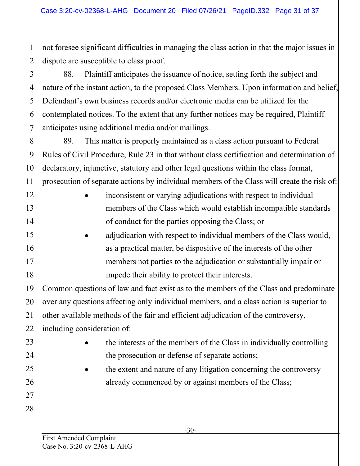not foresee significant difficulties in managing the class action in that the major issues in dispute are susceptible to class proof.

88. Plaintiff anticipates the issuance of notice, setting forth the subject and nature of the instant action, to the proposed Class Members. Upon information and belief, Defendant's own business records and/or electronic media can be utilized for the contemplated notices. To the extent that any further notices may be required, Plaintiff anticipates using additional media and/or mailings.

89. This matter is properly maintained as a class action pursuant to Federal Rules of Civil Procedure, Rule 23 in that without class certification and determination of declaratory, injunctive, statutory and other legal questions within the class format, prosecution of separate actions by individual members of the Class will create the risk of:

- inconsistent or varying adjudications with respect to individual members of the Class which would establish incompatible standards of conduct for the parties opposing the Class; or
- adjudication with respect to individual members of the Class would, as a practical matter, be dispositive of the interests of the other members not parties to the adjudication or substantially impair or impede their ability to protect their interests.

Common questions of law and fact exist as to the members of the Class and predominate over any questions affecting only individual members, and a class action is superior to other available methods of the fair and efficient adjudication of the controversy, including consideration of:

- the interests of the members of the Class in individually controlling the prosecution or defense of separate actions;
- the extent and nature of any litigation concerning the controversy already commenced by or against members of the Class;

1

2

3

4

5

6

7

8

9

10

11

12

13

14

15

16

17

18

19

20

21

22

23

24

25

26

27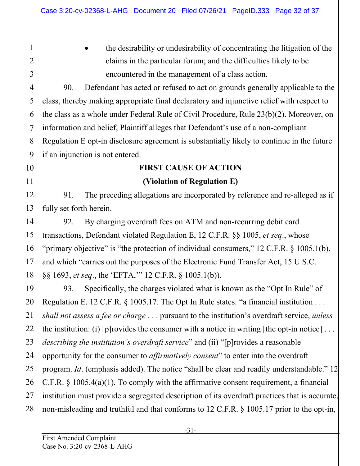• the desirability or undesirability of concentrating the litigation of the claims in the particular forum; and the difficulties likely to be encountered in the management of a class action.

90. Defendant has acted or refused to act on grounds generally applicable to the class, thereby making appropriate final declaratory and injunctive relief with respect to the class as a whole under Federal Rule of Civil Procedure, Rule 23(b)(2). Moreover, on information and belief, Plaintiff alleges that Defendant's use of a non-compliant Regulation E opt-in disclosure agreement is substantially likely to continue in the future if an injunction is not entered.

# **FIRST CAUSE OF ACTION**

#### **(Violation of Regulation E)**

91. The preceding allegations are incorporated by reference and re-alleged as if fully set forth herein.

92. By charging overdraft fees on ATM and non-recurring debit card transactions, Defendant violated Regulation E, 12 C.F.R. §§ 1005, *et seq*., whose "primary objective" is "the protection of individual consumers," 12 C.F.R. § 1005.1(b), and which "carries out the purposes of the Electronic Fund Transfer Act, 15 U.S.C. §§ 1693, *et seq*., the 'EFTA,'" 12 C.F.R. § 1005.1(b)).

93. Specifically, the charges violated what is known as the "Opt In Rule" of Regulation E. 12 C.F.R. § 1005.17. The Opt In Rule states: "a financial institution . . . *shall not assess a fee or charge* . . . pursuant to the institution's overdraft service, *unless* the institution: (i) [p] rovides the consumer with a notice in writing [the opt-in notice]  $\dots$ *describing the institution's overdraft service*" and (ii) "[p]rovides a reasonable opportunity for the consumer to *affirmatively consent*" to enter into the overdraft program. *Id*. (emphasis added). The notice "shall be clear and readily understandable." 12 C.F.R. § 1005.4(a)(1). To comply with the affirmative consent requirement, a financial institution must provide a segregated description of its overdraft practices that is accurate, non-misleading and truthful and that conforms to 12 C.F.R. § 1005.17 prior to the opt-in,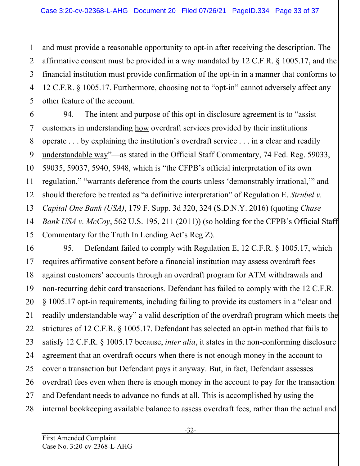and must provide a reasonable opportunity to opt-in after receiving the description. The affirmative consent must be provided in a way mandated by 12 C.F.R. § 1005.17, and the financial institution must provide confirmation of the opt-in in a manner that conforms to 12 C.F.R. § 1005.17. Furthermore, choosing not to "opt-in" cannot adversely affect any other feature of the account.

94. The intent and purpose of this opt-in disclosure agreement is to "assist customers in understanding how overdraft services provided by their institutions operate . . . by explaining the institution's overdraft service . . . in a clear and readily understandable way"—as stated in the Official Staff Commentary, 74 Fed. Reg. 59033, 59035, 59037, 5940, 5948, which is "the CFPB's official interpretation of its own regulation," "warrants deference from the courts unless 'demonstrably irrational,'" and should therefore be treated as "a definitive interpretation" of Regulation E. *Strubel v. Capital One Bank (USA)*, 179 F. Supp. 3d 320, 324 (S.D.N.Y. 2016) (quoting *Chase Bank USA v. McCoy*, 562 U.S. 195, 211 (2011)) (so holding for the CFPB's Official Staff Commentary for the Truth In Lending Act's Reg Z).

24 95. Defendant failed to comply with Regulation E, 12 C.F.R. § 1005.17, which requires affirmative consent before a financial institution may assess overdraft fees against customers' accounts through an overdraft program for ATM withdrawals and non-recurring debit card transactions. Defendant has failed to comply with the 12 C.F.R. § 1005.17 opt-in requirements, including failing to provide its customers in a "clear and readily understandable way" a valid description of the overdraft program which meets the strictures of 12 C.F.R. § 1005.17. Defendant has selected an opt-in method that fails to satisfy 12 C.F.R. § 1005.17 because, *inter alia*, it states in the non-conforming disclosure agreement that an overdraft occurs when there is not enough money in the account to cover a transaction but Defendant pays it anyway. But, in fact, Defendant assesses overdraft fees even when there is enough money in the account to pay for the transaction and Defendant needs to advance no funds at all. This is accomplished by using the internal bookkeeping available balance to assess overdraft fees, rather than the actual and

1

2

3

4

5

6

7

8

9

10

11

12

13

14

15

16

17

18

19

20

21

22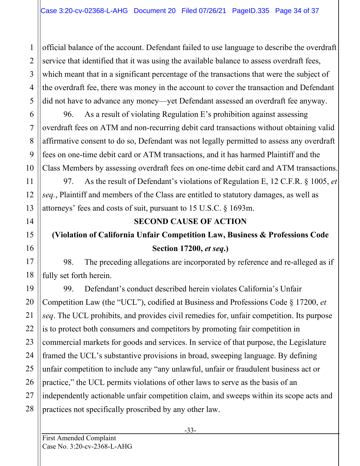official balance of the account. Defendant failed to use language to describe the overdraft service that identified that it was using the available balance to assess overdraft fees, which meant that in a significant percentage of the transactions that were the subject of the overdraft fee, there was money in the account to cover the transaction and Defendant did not have to advance any money—yet Defendant assessed an overdraft fee anyway.

96. As a result of violating Regulation E's prohibition against assessing overdraft fees on ATM and non-recurring debit card transactions without obtaining valid affirmative consent to do so, Defendant was not legally permitted to assess any overdraft fees on one-time debit card or ATM transactions, and it has harmed Plaintiff and the Class Members by assessing overdraft fees on one-time debit card and ATM transactions.

97. As the result of Defendant's violations of Regulation E, 12 C.F.R. § 1005, *et seq.*, Plaintiff and members of the Class are entitled to statutory damages, as well as attorneys' fees and costs of suit, pursuant to 15 U.S.C. § 1693m.

# **SECOND CAUSE OF ACTION**

# **(Violation of California Unfair Competition Law, Business & Professions Code Section 17200,** *et seq***.)**

98. The preceding allegations are incorporated by reference and re-alleged as if fully set forth herein.

99. Defendant's conduct described herein violates California's Unfair Competition Law (the "UCL"), codified at Business and Professions Code § 17200, *et seq*. The UCL prohibits, and provides civil remedies for, unfair competition. Its purpose is to protect both consumers and competitors by promoting fair competition in commercial markets for goods and services. In service of that purpose, the Legislature framed the UCL's substantive provisions in broad, sweeping language. By defining unfair competition to include any "any unlawful, unfair or fraudulent business act or practice," the UCL permits violations of other laws to serve as the basis of an independently actionable unfair competition claim, and sweeps within its scope acts and practices not specifically proscribed by any other law.

1

2

3

4

5

6

7

8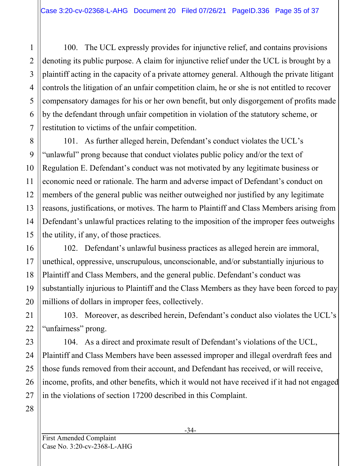100. The UCL expressly provides for injunctive relief, and contains provisions denoting its public purpose. A claim for injunctive relief under the UCL is brought by a plaintiff acting in the capacity of a private attorney general. Although the private litigant controls the litigation of an unfair competition claim, he or she is not entitled to recover compensatory damages for his or her own benefit, but only disgorgement of profits made by the defendant through unfair competition in violation of the statutory scheme, or restitution to victims of the unfair competition.

101. As further alleged herein, Defendant's conduct violates the UCL's "unlawful" prong because that conduct violates public policy and/or the text of Regulation E. Defendant's conduct was not motivated by any legitimate business or economic need or rationale. The harm and adverse impact of Defendant's conduct on members of the general public was neither outweighed nor justified by any legitimate reasons, justifications, or motives. The harm to Plaintiff and Class Members arising from Defendant's unlawful practices relating to the imposition of the improper fees outweighs the utility, if any, of those practices.

102. Defendant's unlawful business practices as alleged herein are immoral, unethical, oppressive, unscrupulous, unconscionable, and/or substantially injurious to Plaintiff and Class Members, and the general public. Defendant's conduct was substantially injurious to Plaintiff and the Class Members as they have been forced to pay millions of dollars in improper fees, collectively.

103. Moreover, as described herein, Defendant's conduct also violates the UCL's "unfairness" prong.

104. As a direct and proximate result of Defendant's violations of the UCL, Plaintiff and Class Members have been assessed improper and illegal overdraft fees and those funds removed from their account, and Defendant has received, or will receive, income, profits, and other benefits, which it would not have received if it had not engaged in the violations of section 17200 described in this Complaint.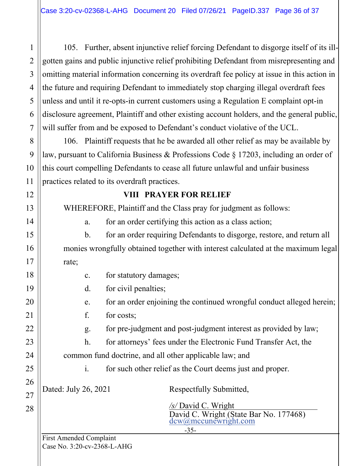105. Further, absent injunctive relief forcing Defendant to disgorge itself of its illgotten gains and public injunctive relief prohibiting Defendant from misrepresenting and omitting material information concerning its overdraft fee policy at issue in this action in the future and requiring Defendant to immediately stop charging illegal overdraft fees unless and until it re-opts-in current customers using a Regulation E complaint opt-in disclosure agreement, Plaintiff and other existing account holders, and the general public, will suffer from and be exposed to Defendant's conduct violative of the UCL.

106. Plaintiff requests that he be awarded all other relief as may be available by law, pursuant to California Business & Professions Code § 17203, including an order of this court compelling Defendants to cease all future unlawful and unfair business practices related to its overdraft practices.

#### **VIII PRAYER FOR RELIEF**

WHEREFORE, Plaintiff and the Class pray for judgment as follows:

a. for an order certifying this action as a class action;

b. for an order requiring Defendants to disgorge, restore, and return all monies wrongfully obtained together with interest calculated at the maximum legal rate;

| $\mathbf{c}$ .                                                        | for statutory damages;                                                |  |  |  |  |
|-----------------------------------------------------------------------|-----------------------------------------------------------------------|--|--|--|--|
| $\mathbf{d}$ .                                                        | for civil penalties;                                                  |  |  |  |  |
| e.                                                                    | for an order enjoining the continued wrongful conduct alleged herein; |  |  |  |  |
| f.                                                                    | for costs;                                                            |  |  |  |  |
| for pre-judgment and post-judgment interest as provided by law;<br>g. |                                                                       |  |  |  |  |
| h.<br>for attorneys' fees under the Electronic Fund Transfer Act, the |                                                                       |  |  |  |  |
| common fund doctrine, and all other applicable law; and               |                                                                       |  |  |  |  |
| 1.                                                                    | for such other relief as the Court deems just and proper.             |  |  |  |  |
| Dated: July 26, 2021                                                  | Respectfully Submitted,                                               |  |  |  |  |
|                                                                       | /s/ David C. Wright                                                   |  |  |  |  |
|                                                                       | David C. Wright (State Bar No. 177468)<br>dcw@mccunewright.com        |  |  |  |  |
|                                                                       | $-35-$                                                                |  |  |  |  |